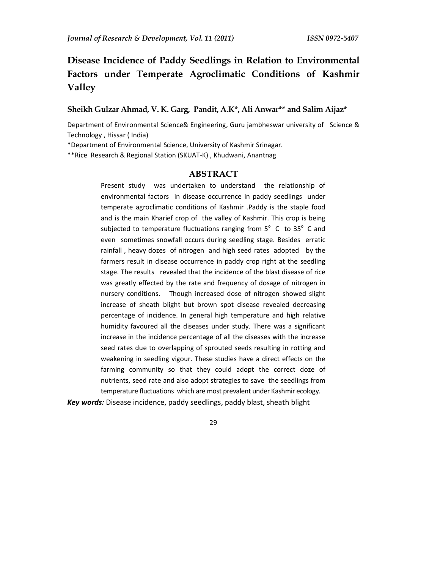# **Disease Incidence of Paddy Seedlings in Relation to Environmental Factors under Temperate Agroclimatic Conditions of Kashmir Valley**

# **Sheikh Gulzar Ahmad, V. K. Garg, Pandit, A.K\*, Ali Anwar\*\* and Salim Aijaz\***

Department of Environmental Science& Engineering, Guru jambheswar university of Science & Technology , Hissar ( India)

\*Department of Environmental Science, University of Kashmir Srinagar.

\*\*Rice Research & Regional Station (SKUAT-K) , Khudwani, Anantnag

## **ABSTRACT**

Present study was undertaken to understand the relationship of environmental factors in disease occurrence in paddy seedlings under temperate agroclimatic conditions of Kashmir .Paddy is the staple food and is the main Kharief crop of the valley of Kashmir. This crop is being subjected to temperature fluctuations ranging from  $5^{\circ}$  C to  $35^{\circ}$  C and even sometimes snowfall occurs during seedling stage. Besides erratic rainfall , heavy dozes of nitrogen and high seed rates adopted by the farmers result in disease occurrence in paddy crop right at the seedling stage. The results revealed that the incidence of the blast disease of rice was greatly effected by the rate and frequency of dosage of nitrogen in nursery conditions. Though increased dose of nitrogen showed slight increase of sheath blight but brown spot disease revealed decreasing percentage of incidence. In general high temperature and high relative humidity favoured all the diseases under study. There was a significant increase in the incidence percentage of all the diseases with the increase seed rates due to overlapping of sprouted seeds resulting in rotting and weakening in seedling vigour. These studies have a direct effects on the farming community so that they could adopt the correct doze of nutrients, seed rate and also adopt strategies to save the seedlings from temperature fluctuations which are most prevalent under Kashmir ecology.

*Key words:* Disease incidence, paddy seedlings, paddy blast, sheath blight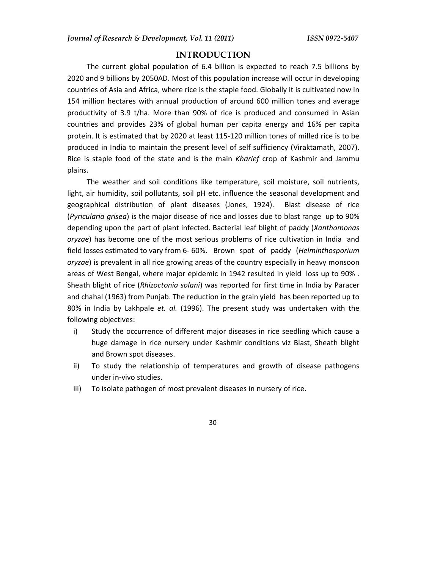### **INTRODUCTION**

The current global population of 6.4 billion is expected to reach 7.5 billions by 2020 and 9 billions by 2050AD. Most of this population increase will occur in developing countries of Asia and Africa, where rice is the staple food. Globally it is cultivated now in 154 million hectares with annual production of around 600 million tones and average productivity of 3.9 t/ha. More than 90% of rice is produced and consumed in Asian countries and provides 23% of global human per capita energy and 16% per capita protein. It is estimated that by 2020 at least 115-120 million tones of milled rice is to be produced in India to maintain the present level of self sufficiency (Viraktamath, 2007). Rice is staple food of the state and is the main *Kharief* crop of Kashmir and Jammu plains.

The weather and soil conditions like temperature, soil moisture, soil nutrients, light, air humidity, soil pollutants, soil pH etc. influence the seasonal development and geographical distribution of plant diseases (Jones, 1924). Blast disease of rice (*Pyricularia grisea*) is the major disease of rice and losses due to blast range up to 90% depending upon the part of plant infected. Bacterial leaf blight of paddy (*Xanthomonas oryzae*) has become one of the most serious problems of rice cultivation in India and field losses estimated to vary from 6- 60%. Brown spot of paddy (*Helminthosporium oryzae*) is prevalent in all rice growing areas of the country especially in heavy monsoon areas of West Bengal, where major epidemic in 1942 resulted in yield loss up to 90% . Sheath blight of rice (*Rhizoctonia solani*) was reported for first time in India by Paracer and chahal (1963) from Punjab. The reduction in the grain yield has been reported up to 80% in India by Lakhpale *et. al.* (1996). The present study was undertaken with the following objectives:

- i) Study the occurrence of different major diseases in rice seedling which cause a huge damage in rice nursery under Kashmir conditions viz Blast, Sheath blight and Brown spot diseases.
- ii) To study the relationship of temperatures and growth of disease pathogens under in-vivo studies.
- iii) To isolate pathogen of most prevalent diseases in nursery of rice.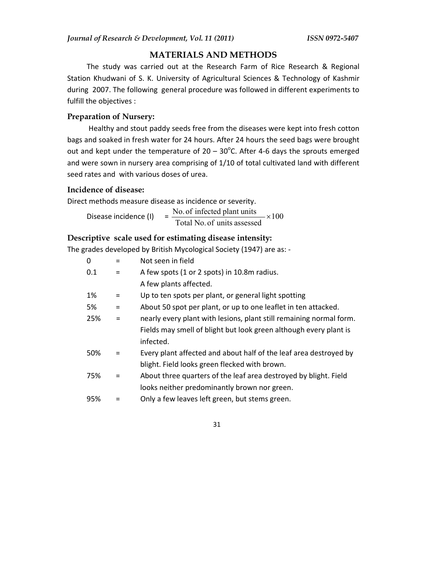## **MATERIALS AND METHODS**

The study was carried out at the Research Farm of Rice Research & Regional Station Khudwani of S. K. University of Agricultural Sciences & Technology of Kashmir during 2007. The following general procedure was followed in different experiments to fulfill the objectives :

## **Preparation of Nursery:**

Healthy and stout paddy seeds free from the diseases were kept into fresh cotton bags and soaked in fresh water for 24 hours. After 24 hours the seed bags were brought out and kept under the temperature of  $20 - 30^{\circ}$ C. After 4-6 days the sprouts emerged and were sown in nursery area comprising of 1/10 of total cultivated land with different seed rates and with various doses of urea.

# **Incidence of disease:**

Direct methods measure disease as incidence or severity.

Disease incidence (I)  $=\frac{100.01 \text{ infected plant units}}{T} \times 100$ Total No. of units assessed No. of infected plant units  $\frac{1}{x}$ 

# **Descriptive scale used for estimating disease intensity:**

The grades developed by British Mycological Society (1947) are as: -

| $\Omega$ | $=$ | Not seen in field                                                   |
|----------|-----|---------------------------------------------------------------------|
| 0.1      | $=$ | A few spots (1 or 2 spots) in 10.8m radius.                         |
|          |     | A few plants affected.                                              |
| 1%       | $=$ | Up to ten spots per plant, or general light spotting                |
| 5%       | $=$ | About 50 spot per plant, or up to one leaflet in ten attacked.      |
| 25%      | $=$ | nearly every plant with lesions, plant still remaining normal form. |
|          |     | Fields may smell of blight but look green although every plant is   |
|          |     | infected.                                                           |
| 50%      | $=$ | Every plant affected and about half of the leaf area destroyed by   |
|          |     | blight. Field looks green flecked with brown.                       |
| 75%      | $=$ | About three quarters of the leaf area destroyed by blight. Field    |
|          |     | looks neither predominantly brown nor green.                        |
| 95%      |     | Only a few leaves left green, but stems green.                      |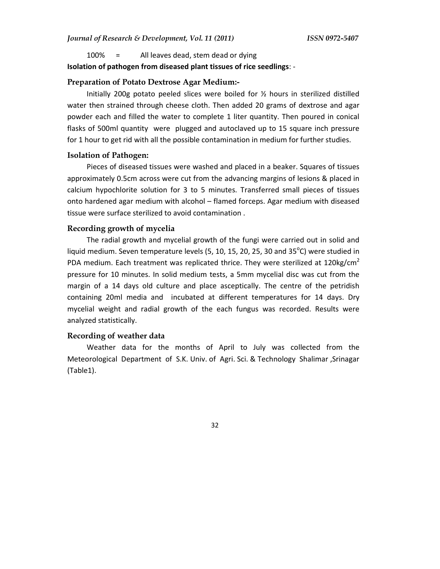#### 100% = All leaves dead, stem dead or dying

### **Isolation of pathogen from diseased plant tissues of rice seedlings**: -

#### **Preparation of Potato Dextrose Agar Medium:-**

Initially 200g potato peeled slices were boiled for  $\frac{1}{2}$  hours in sterilized distilled water then strained through cheese cloth. Then added 20 grams of dextrose and agar powder each and filled the water to complete 1 liter quantity. Then poured in conical flasks of 500ml quantity were plugged and autoclaved up to 15 square inch pressure for 1 hour to get rid with all the possible contamination in medium for further studies.

#### **Isolation of Pathogen:**

Pieces of diseased tissues were washed and placed in a beaker. Squares of tissues approximately 0.5cm across were cut from the advancing margins of lesions & placed in calcium hypochlorite solution for 3 to 5 minutes. Transferred small pieces of tissues onto hardened agar medium with alcohol – flamed forceps. Agar medium with diseased tissue were surface sterilized to avoid contamination .

#### **Recording growth of mycelia**

The radial growth and mycelial growth of the fungi were carried out in solid and liquid medium. Seven temperature levels (5, 10, 15, 20, 25, 30 and 35 $^{\circ}$ C) were studied in PDA medium. Each treatment was replicated thrice. They were sterilized at 120kg/cm<sup>2</sup> pressure for 10 minutes. In solid medium tests, a 5mm mycelial disc was cut from the margin of a 14 days old culture and place asceptically. The centre of the petridish containing 20ml media and incubated at different temperatures for 14 days. Dry mycelial weight and radial growth of the each fungus was recorded. Results were analyzed statistically.

#### **Recording of weather data**

Weather data for the months of April to July was collected from the Meteorological Department of S.K. Univ. of Agri. Sci. & Technology Shalimar ,Srinagar (Table1).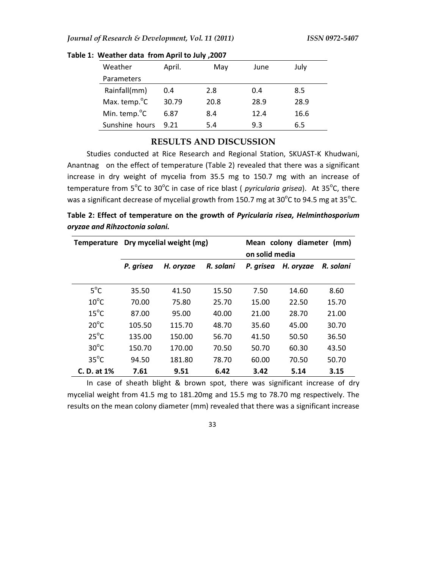| Weather                   | April. | May  | June | July |
|---------------------------|--------|------|------|------|
| Parameters                |        |      |      |      |
| Rainfall(mm)              | 0.4    | 2.8  | 0.4  | 8.5  |
| Max. temp. <sup>o</sup> C | 30.79  | 20.8 | 28.9 | 28.9 |
| Min. temp. <sup>o</sup> C | 6.87   | 8.4  | 12.4 | 16.6 |
| Sunshine hours            | 9.21   | 5.4  | 9.3  | 6.5  |

**Table 1: Weather data from April to July ,2007**

## **RESULTS AND DISCUSSION**

Studies conducted at Rice Research and Regional Station, SKUAST-K Khudwani, Anantnag on the effect of temperature (Table 2) revealed that there was a significant increase in dry weight of mycelia from 35.5 mg to 150.7 mg with an increase of temperature from 5<sup>o</sup>C to 30<sup>o</sup>C in case of rice blast ( *pyricularia grisea*). At 35<sup>o</sup>C, there was a significant decrease of mycelial growth from 150.7 mg at 30 $^{\circ}$ C to 94.5 mg at 35 $^{\circ}$ C.

**Table 2: Effect of temperature on the growth of** *Pyricularia risea, Helminthosporium oryzae and Rihzoctonia solani.*

| <b>Temperature</b> | Dry mycelial weight (mg) |           |           | Mean colony diameter<br>(mm)<br>on solid media |           |           |  |
|--------------------|--------------------------|-----------|-----------|------------------------------------------------|-----------|-----------|--|
|                    | P. grisea                | H. oryzae | R. solani | P. grisea                                      | H. oryzae | R. solani |  |
| $5^{\circ}$ C      | 35.50                    | 41.50     | 15.50     | 7.50                                           | 14.60     | 8.60      |  |
| $10^{\circ}$ C     | 70.00                    | 75.80     | 25.70     | 15.00                                          | 22.50     | 15.70     |  |
| $15^{\circ}$ C     | 87.00                    | 95.00     | 40.00     | 21.00                                          | 28.70     | 21.00     |  |
| $20^{\circ}$ C     | 105.50                   | 115.70    | 48.70     | 35.60                                          | 45.00     | 30.70     |  |
| $25^{\circ}$ C     | 135.00                   | 150.00    | 56.70     | 41.50                                          | 50.50     | 36.50     |  |
| $30^{\circ}$ C     | 150.70                   | 170.00    | 70.50     | 50.70                                          | 60.30     | 43.50     |  |
| $35^{\circ}$ C     | 94.50                    | 181.80    | 78.70     | 60.00                                          | 70.50     | 50.70     |  |
| C. D. at 1%        | 7.61                     | 9.51      | 6.42      | 3.42                                           | 5.14      | 3.15      |  |

In case of sheath blight & brown spot, there was significant increase of dry mycelial weight from 41.5 mg to 181.20mg and 15.5 mg to 78.70 mg respectively. The results on the mean colony diameter (mm) revealed that there was a significant increase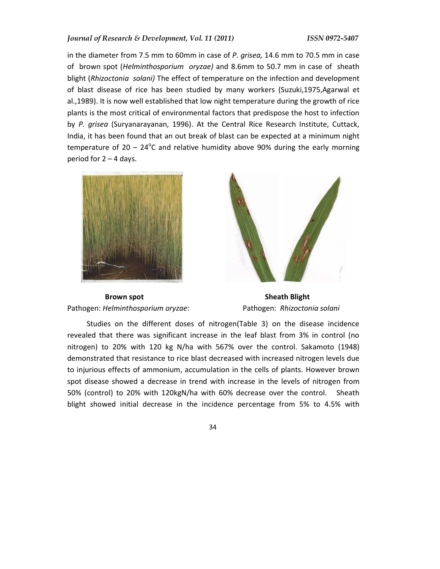in the diameter from 7.5 mm to 60mm in case of *P. grisea,* 14.6 mm to 70.5 mm in case of brown spot (*Helminthosporium oryzae)* and 8.6mm to 50.7 mm in case of sheath blight (*Rhizoctonia solani)* The effect of temperature on the infection and development of blast disease of rice has been studied by many workers (Suzuki,1975,Agarwal et al.,1989). It is now well established that low night temperature during the growth of rice plants is the most critical of environmental factors that predispose the host to infection by *P. grisea* (Suryanarayanan, 1996). At the Central Rice Research Institute, Cuttack, India, it has been found that an out break of blast can be expected at a minimum night temperature of  $20 - 24$ <sup>o</sup>C and relative humidity above 90% during the early morning period for  $2 - 4$  days.



**Brown spot Sheath Blight** Sheath Blight Pathogen: *Helminthosporium oryzae*: Pathogen: *Rhizoctonia solani*



Studies on the different doses of nitrogen(Table 3) on the disease incidence revealed that there was significant increase in the leaf blast from 3% in control (no nitrogen) to 20% with 120 kg N/ha with 567% over the control. Sakamoto (1948) demonstrated that resistance to rice blast decreased with increased nitrogen levels due to injurious effects of ammonium, accumulation in the cells of plants. However brown spot disease showed a decrease in trend with increase in the levels of nitrogen from 50% (control) to 20% with 120kgN/ha with 60% decrease over the control. Sheath blight showed initial decrease in the incidence percentage from 5% to 4.5% with

29 28 334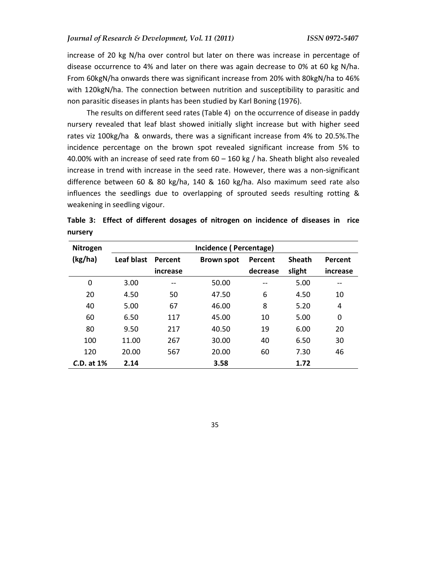increase of 20 kg N/ha over control but later on there was increase in percentage of disease occurrence to 4% and later on there was again decrease to 0% at 60 kg N/ha. From 60kgN/ha onwards there was significant increase from 20% with 80kgN/ha to 46% with 120kgN/ha. The connection between nutrition and susceptibility to parasitic and non parasitic diseases in plants has been studied by Karl Boning (1976).

The results on different seed rates (Table 4) on the occurrence of disease in paddy nursery revealed that leaf blast showed initially slight increase but with higher seed rates viz 100kg/ha & onwards, there was a significant increase from 4% to 20.5%.The incidence percentage on the brown spot revealed significant increase from 5% to 40.00% with an increase of seed rate from  $60 - 160$  kg / ha. Sheath blight also revealed increase in trend with increase in the seed rate. However, there was a non-significant difference between 60 & 80 kg/ha, 140 & 160 kg/ha. Also maximum seed rate also influences the seedlings due to overlapping of sprouted seeds resulting rotting & weakening in seedling vigour.

| Nitrogen        | Incidence (Percentage) |          |                   |          |               |          |
|-----------------|------------------------|----------|-------------------|----------|---------------|----------|
| (kg/ha)         | Leaf blast             | Percent  | <b>Brown spot</b> | Percent  | <b>Sheath</b> | Percent  |
|                 |                        | increase |                   | decrease | slight        | increase |
| 0               | 3.00                   | --       | 50.00             | $-$      | 5.00          | --       |
| 20              | 4.50                   | 50       | 47.50             | 6        | 4.50          | 10       |
| 40              | 5.00                   | 67       | 46.00             | 8        | 5.20          | 4        |
| 60              | 6.50                   | 117      | 45.00             | 10       | 5.00          | 0        |
| 80              | 9.50                   | 217      | 40.50             | 19       | 6.00          | 20       |
| 100             | 11.00                  | 267      | 30.00             | 40       | 6.50          | 30       |
| 120             | 20.00                  | 567      | 20.00             | 60       | 7.30          | 46       |
| $C.D.$ at $1\%$ | 2.14                   |          | 3.58              |          | 1.72          |          |

|         | Table 3: Effect of different dosages of nitrogen on incidence of diseases in rice |  |  |  |  |
|---------|-----------------------------------------------------------------------------------|--|--|--|--|
| nursery |                                                                                   |  |  |  |  |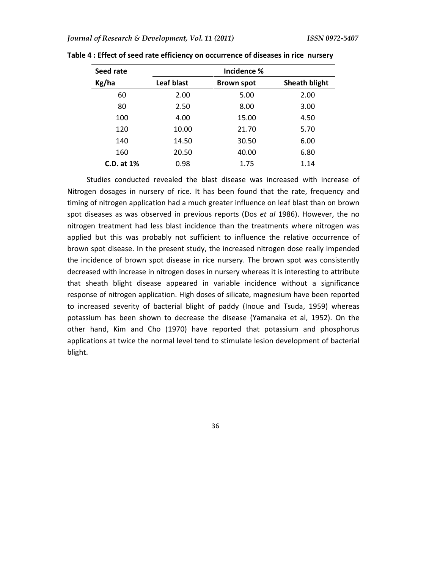| Seed rate       | Incidence % |                   |                      |  |  |
|-----------------|-------------|-------------------|----------------------|--|--|
| Kg/ha           | Leaf blast  | <b>Brown spot</b> | <b>Sheath blight</b> |  |  |
| 60              | 2.00        | 5.00              | 2.00                 |  |  |
| 80              | 2.50        | 8.00              | 3.00                 |  |  |
| 100             | 4.00        | 15.00             | 4.50                 |  |  |
| 120             | 10.00       | 21.70             | 5.70                 |  |  |
| 140             | 14.50       | 30.50             | 6.00                 |  |  |
| 160             | 20.50       | 40.00             | 6.80                 |  |  |
| $C.D.$ at $1\%$ | 0.98        | 1.75              | 1.14                 |  |  |

**Table 4 : Effect of seed rate efficiency on occurrence of diseases in rice nursery** 

Studies conducted revealed the blast disease was increased with increase of Nitrogen dosages in nursery of rice. It has been found that the rate, frequency and timing of nitrogen application had a much greater influence on leaf blast than on brown spot diseases as was observed in previous reports (Dos *et al* 1986). However, the no nitrogen treatment had less blast incidence than the treatments where nitrogen was applied but this was probably not sufficient to influence the relative occurrence of brown spot disease. In the present study, the increased nitrogen dose really impended the incidence of brown spot disease in rice nursery. The brown spot was consistently decreased with increase in nitrogen doses in nursery whereas it is interesting to attribute that sheath blight disease appeared in variable incidence without a significance response of nitrogen application. High doses of silicate, magnesium have been reported to increased severity of bacterial blight of paddy (Inoue and Tsuda, 1959) whereas potassium has been shown to decrease the disease (Yamanaka et al, 1952). On the other hand, Kim and Cho (1970) have reported that potassium and phosphorus applications at twice the normal level tend to stimulate lesion development of bacterial blight.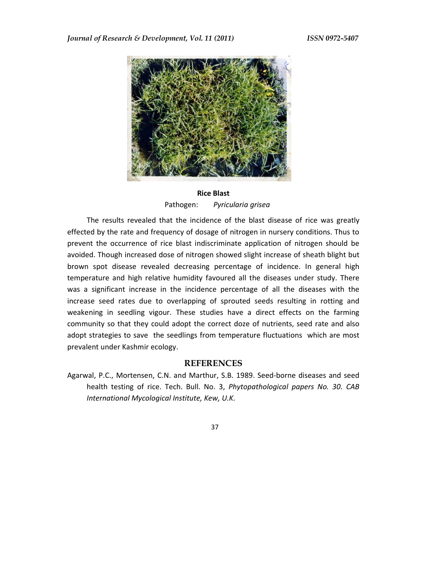

# **Rice Blast**  Pathogen: *Pyricularia grisea*

The results revealed that the incidence of the blast disease of rice was greatly effected by the rate and frequency of dosage of nitrogen in nursery conditions. Thus to prevent the occurrence of rice blast indiscriminate application of nitrogen should be avoided. Though increased dose of nitrogen showed slight increase of sheath blight but brown spot disease revealed decreasing percentage of incidence. In general high temperature and high relative humidity favoured all the diseases under study. There was a significant increase in the incidence percentage of all the diseases with the increase seed rates due to overlapping of sprouted seeds resulting in rotting and weakening in seedling vigour. These studies have a direct effects on the farming community so that they could adopt the correct doze of nutrients, seed rate and also adopt strategies to save the seedlings from temperature fluctuations which are most prevalent under Kashmir ecology.

#### **REFERENCES**

Agarwal, P.C., Mortensen, C.N. and Marthur, S.B. 1989. Seed-borne diseases and seed health testing of rice. Tech. Bull. No. 3, *Phytopathological papers No. 30. CAB International Mycological Institute, Kew, U.K.*